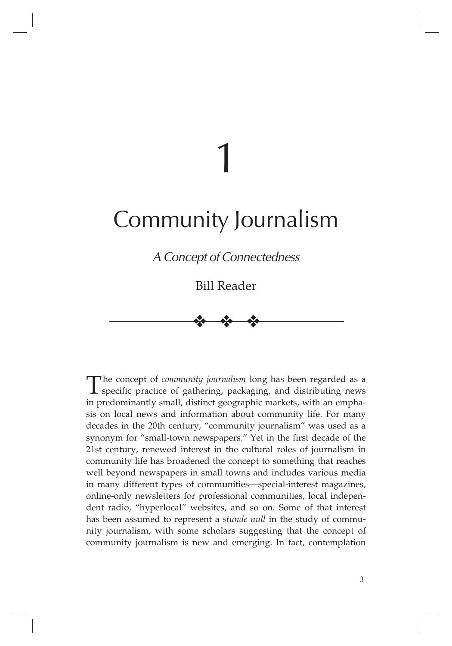# Community Journalism

1

*A Concept of Connectedness*

Bill Reader



The concept of *community journalism* long has been regarded as a specific practice of gathering, packaging, and distributing news in predominantly small, distinct geographic markets, with an emphasis on local news and information about community life. For many decades in the 20th century, "community journalism" was used as a synonym for "small-town newspapers." Yet in the first decade of the 21st century, renewed interest in the cultural roles of journalism in community life has broadened the concept to something that reaches well beyond newspapers in small towns and includes various media in many different types of communities—special-interest magazines, online-only newsletters for professional communities, local independent radio, "hyperlocal" websites, and so on. Some of that interest has been assumed to represent a *stunde null* in the study of community journalism, with some scholars suggesting that the concept of community journalism is new and emerging. In fact, contemplation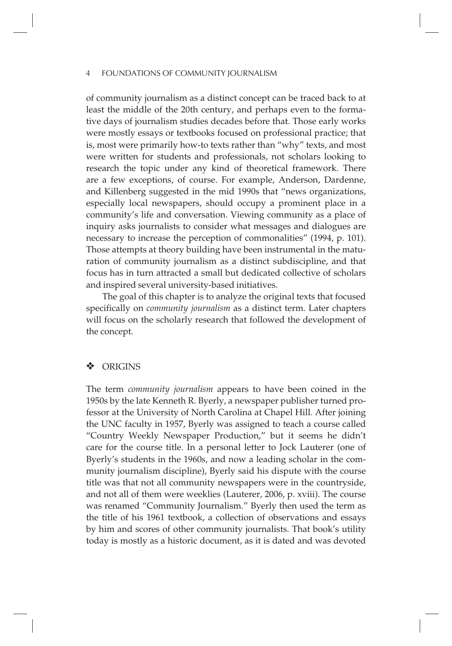of community journalism as a distinct concept can be traced back to at least the middle of the 20th century, and perhaps even to the formative days of journalism studies decades before that. Those early works were mostly essays or textbooks focused on professional practice; that is, most were primarily how-to texts rather than "why" texts, and most were written for students and professionals, not scholars looking to research the topic under any kind of theoretical framework. There are a few exceptions, of course. For example, Anderson, Dardenne, and Killenberg suggested in the mid 1990s that "news organizations, especially local newspapers, should occupy a prominent place in a community's life and conversation. Viewing community as a place of inquiry asks journalists to consider what messages and dialogues are necessary to increase the perception of commonalities" (1994, p. 101). Those attempts at theory building have been instrumental in the maturation of community journalism as a distinct subdiscipline, and that focus has in turn attracted a small but dedicated collective of scholars and inspired several university-based initiatives.

The goal of this chapter is to analyze the original texts that focused specifically on *community journalism* as a distinct term. Later chapters will focus on the scholarly research that followed the development of the concept.

# **ORIGINS**

The term *community journalism* appears to have been coined in the 1950s by the late Kenneth R. Byerly, a newspaper publisher turned professor at the University of North Carolina at Chapel Hill. After joining the UNC faculty in 1957, Byerly was assigned to teach a course called "Country Weekly Newspaper Production," but it seems he didn't care for the course title. In a personal letter to Jock Lauterer (one of Byerly's students in the 1960s, and now a leading scholar in the community journalism discipline), Byerly said his dispute with the course title was that not all community newspapers were in the countryside, and not all of them were weeklies (Lauterer, 2006, p. xviii). The course was renamed "Community Journalism." Byerly then used the term as the title of his 1961 textbook, a collection of observations and essays by him and scores of other community journalists. That book's utility today is mostly as a historic document, as it is dated and was devoted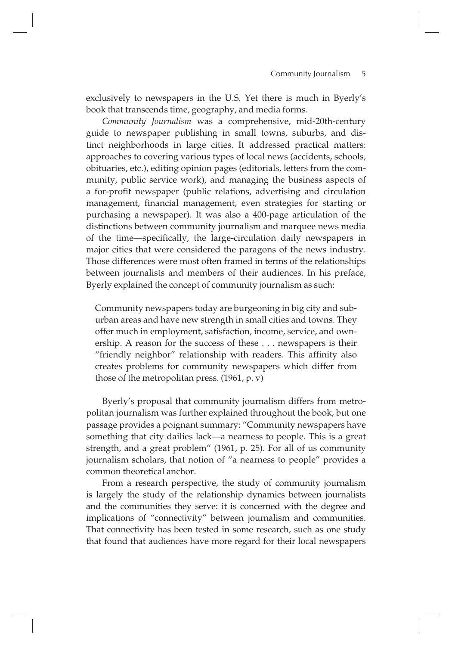exclusively to newspapers in the U.S. Yet there is much in Byerly's book that transcends time, geography, and media forms.

*Community Journalism* was a comprehensive, mid-20th-century guide to newspaper publishing in small towns, suburbs, and distinct neighborhoods in large cities. It addressed practical matters: approaches to covering various types of local news (accidents, schools, obituaries, etc.), editing opinion pages (editorials, letters from the community, public service work), and managing the business aspects of a for-profit newspaper (public relations, advertising and circulation management, financial management, even strategies for starting or purchasing a newspaper). It was also a 400-page articulation of the distinctions between community journalism and marquee news media of the time—specifically, the large-circulation daily newspapers in major cities that were considered the paragons of the news industry. Those differences were most often framed in terms of the relationships between journalists and members of their audiences. In his preface, Byerly explained the concept of community journalism as such:

Community newspapers today are burgeoning in big city and suburban areas and have new strength in small cities and towns. They offer much in employment, satisfaction, income, service, and ownership. A reason for the success of these . . . newspapers is their "friendly neighbor" relationship with readers. This affinity also creates problems for community newspapers which differ from those of the metropolitan press. (1961, p. v)

Byerly's proposal that community journalism differs from metropolitan journalism was further explained throughout the book, but one passage provides a poignant summary: "Community newspapers have something that city dailies lack—a nearness to people. This is a great strength, and a great problem" (1961, p. 25). For all of us community journalism scholars, that notion of "a nearness to people" provides a common theoretical anchor.

From a research perspective, the study of community journalism is largely the study of the relationship dynamics between journalists and the communities they serve: it is concerned with the degree and implications of "connectivity" between journalism and communities. That connectivity has been tested in some research, such as one study that found that audiences have more regard for their local newspapers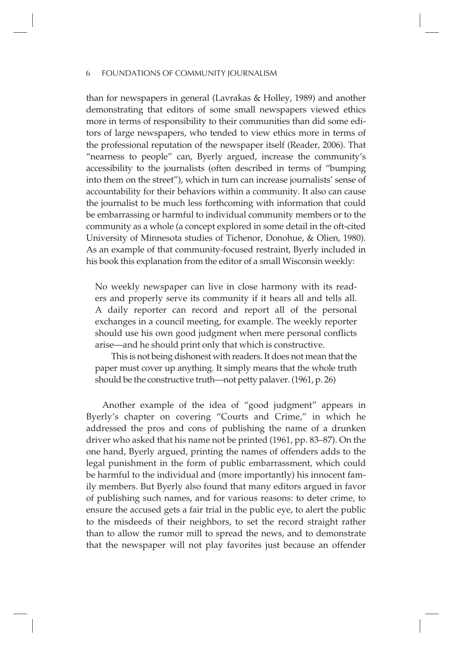than for newspapers in general (Lavrakas & Holley, 1989) and another demonstrating that editors of some small newspapers viewed ethics more in terms of responsibility to their communities than did some editors of large newspapers, who tended to view ethics more in terms of the professional reputation of the newspaper itself (Reader, 2006). That "nearness to people" can, Byerly argued, increase the community's accessibility to the journalists (often described in terms of "bumping into them on the street"), which in turn can increase journalists' sense of accountability for their behaviors within a community. It also can cause the journalist to be much less forthcoming with information that could be embarrassing or harmful to individual community members or to the community as a whole (a concept explored in some detail in the oft-cited University of Minnesota studies of Tichenor, Donohue, & Olien, 1980). As an example of that community-focused restraint, Byerly included in his book this explanation from the editor of a small Wisconsin weekly:

No weekly newspaper can live in close harmony with its readers and properly serve its community if it hears all and tells all. A daily reporter can record and report all of the personal exchanges in a council meeting, for example. The weekly reporter should use his own good judgment when mere personal conflicts arise—and he should print only that which is constructive.

This is not being dishonest with readers. It does not mean that the paper must cover up anything. It simply means that the whole truth should be the constructive truth—not petty palaver. (1961, p. 26)

Another example of the idea of "good judgment" appears in Byerly's chapter on covering "Courts and Crime," in which he addressed the pros and cons of publishing the name of a drunken driver who asked that his name not be printed (1961, pp. 83–87). On the one hand, Byerly argued, printing the names of offenders adds to the legal punishment in the form of public embarrassment, which could be harmful to the individual and (more importantly) his innocent family members. But Byerly also found that many editors argued in favor of publishing such names, and for various reasons: to deter crime, to ensure the accused gets a fair trial in the public eye, to alert the public to the misdeeds of their neighbors, to set the record straight rather than to allow the rumor mill to spread the news, and to demonstrate that the newspaper will not play favorites just because an offender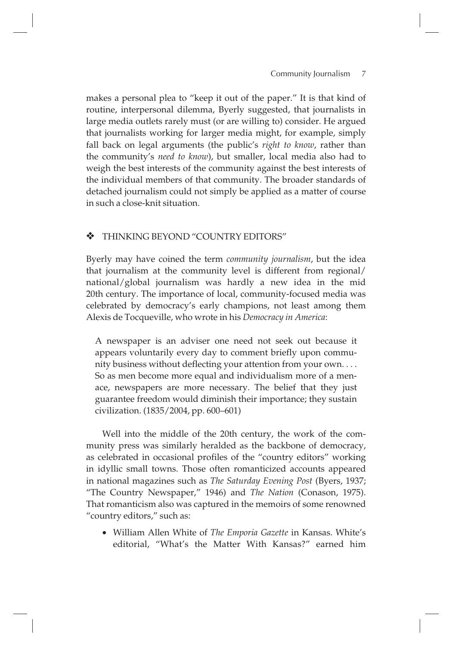makes a personal plea to "keep it out of the paper." It is that kind of routine, interpersonal dilemma, Byerly suggested, that journalists in large media outlets rarely must (or are willing to) consider. He argued that journalists working for larger media might, for example, simply fall back on legal arguments (the public's *right to know*, rather than the community's *need to know*), but smaller, local media also had to weigh the best interests of the community against the best interests of the individual members of that community. The broader standards of detached journalism could not simply be applied as a matter of course in such a close-knit situation.

# ❖ THINKING BEYOND "COUNTRY EDITORS"

Byerly may have coined the term *community journalism*, but the idea that journalism at the community level is different from regional/ national/global journalism was hardly a new idea in the mid 20th century. The importance of local, community-focused media was celebrated by democracy's early champions, not least among them Alexis de Tocqueville, who wrote in his *Democracy in America*:

A newspaper is an adviser one need not seek out because it appears voluntarily every day to comment briefly upon community business without deflecting your attention from your own. . . . So as men become more equal and individualism more of a menace, newspapers are more necessary. The belief that they just guarantee freedom would diminish their importance; they sustain civilization. (1835/2004, pp. 600–601)

Well into the middle of the 20th century, the work of the community press was similarly heralded as the backbone of democracy, as celebrated in occasional profiles of the "country editors" working in idyllic small towns. Those often romanticized accounts appeared in national magazines such as *The Saturday Evening Post* (Byers, 1937; "The Country Newspaper," 1946) and *The Nation* (Conason, 1975). That romanticism also was captured in the memoirs of some renowned "country editors," such as:

• William Allen White of *The Emporia Gazette* in Kansas. White's editorial, "What's the Matter With Kansas?" earned him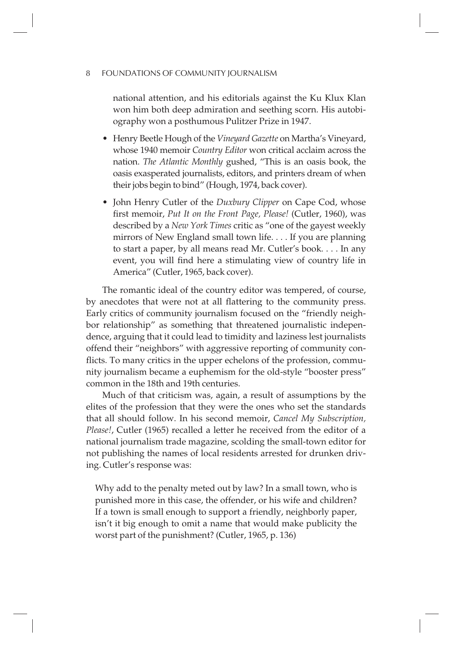national attention, and his editorials against the Ku Klux Klan won him both deep admiration and seething scorn. His autobiography won a posthumous Pulitzer Prize in 1947.

- Henry Beetle Hough of the *Vineyard Gazette* on Martha's Vineyard, whose 1940 memoir *Country Editor* won critical acclaim across the nation. *The Atlantic Monthly* gushed, "This is an oasis book, the oasis exasperated journalists, editors, and printers dream of when their jobs begin to bind" (Hough, 1974, back cover).
- John Henry Cutler of the *Duxbury Clipper* on Cape Cod, whose first memoir, *Put It on the Front Page, Please!* (Cutler, 1960), was described by a *New York Times* critic as "one of the gayest weekly mirrors of New England small town life. . . . If you are planning to start a paper, by all means read Mr. Cutler's book. . . . In any event, you will find here a stimulating view of country life in America" (Cutler, 1965, back cover).

The romantic ideal of the country editor was tempered, of course, by anecdotes that were not at all flattering to the community press. Early critics of community journalism focused on the "friendly neighbor relationship" as something that threatened journalistic independence, arguing that it could lead to timidity and laziness lest journalists offend their "neighbors" with aggressive reporting of community conflicts. To many critics in the upper echelons of the profession, community journalism became a euphemism for the old-style "booster press" common in the 18th and 19th centuries.

Much of that criticism was, again, a result of assumptions by the elites of the profession that they were the ones who set the standards that all should follow. In his second memoir, *Cancel My Subscription, Please!*, Cutler (1965) recalled a letter he received from the editor of a national journalism trade magazine, scolding the small-town editor for not publishing the names of local residents arrested for drunken driving. Cutler's response was:

Why add to the penalty meted out by law? In a small town, who is punished more in this case, the offender, or his wife and children? If a town is small enough to support a friendly, neighborly paper, isn't it big enough to omit a name that would make publicity the worst part of the punishment? (Cutler, 1965, p. 136)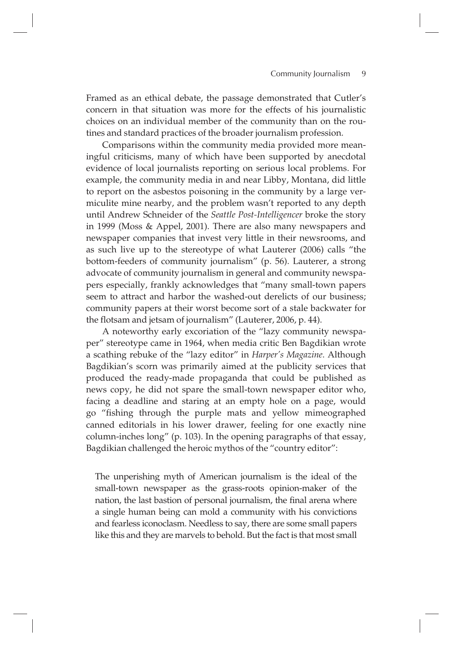Framed as an ethical debate, the passage demonstrated that Cutler's concern in that situation was more for the effects of his journalistic choices on an individual member of the community than on the routines and standard practices of the broader journalism profession.

Comparisons within the community media provided more meaningful criticisms, many of which have been supported by anecdotal evidence of local journalists reporting on serious local problems. For example, the community media in and near Libby, Montana, did little to report on the asbestos poisoning in the community by a large vermiculite mine nearby, and the problem wasn't reported to any depth until Andrew Schneider of the *Seattle Post-Intelligencer* broke the story in 1999 (Moss & Appel, 2001). There are also many newspapers and newspaper companies that invest very little in their newsrooms, and as such live up to the stereotype of what Lauterer (2006) calls "the bottom-feeders of community journalism" (p. 56). Lauterer, a strong advocate of community journalism in general and community newspapers especially, frankly acknowledges that "many small-town papers seem to attract and harbor the washed-out derelicts of our business; community papers at their worst become sort of a stale backwater for the flotsam and jetsam of journalism" (Lauterer, 2006, p. 44).

A noteworthy early excoriation of the "lazy community newspaper" stereotype came in 1964, when media critic Ben Bagdikian wrote a scathing rebuke of the "lazy editor" in *Harper's Magazine*. Although Bagdikian's scorn was primarily aimed at the publicity services that produced the ready-made propaganda that could be published as news copy, he did not spare the small-town newspaper editor who, facing a deadline and staring at an empty hole on a page, would go "fishing through the purple mats and yellow mimeographed canned editorials in his lower drawer, feeling for one exactly nine column-inches long" (p. 103). In the opening paragraphs of that essay, Bagdikian challenged the heroic mythos of the "country editor":

The unperishing myth of American journalism is the ideal of the small-town newspaper as the grass-roots opinion-maker of the nation, the last bastion of personal journalism, the final arena where a single human being can mold a community with his convictions and fearless iconoclasm. Needless to say, there are some small papers like this and they are marvels to behold. But the fact is that most small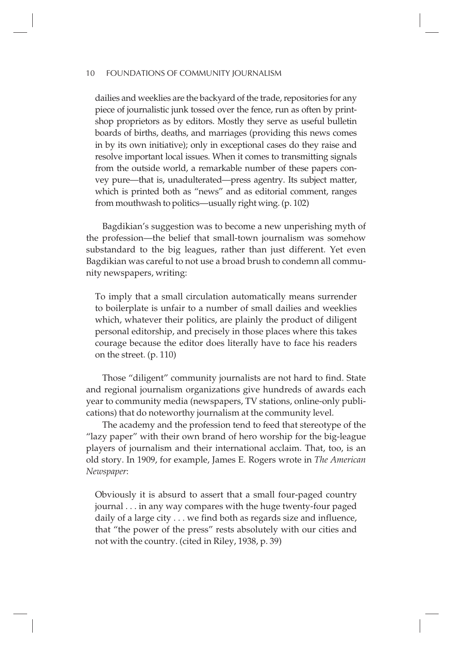dailies and weeklies are the backyard of the trade, repositories for any piece of journalistic junk tossed over the fence, run as often by printshop proprietors as by editors. Mostly they serve as useful bulletin boards of births, deaths, and marriages (providing this news comes in by its own initiative); only in exceptional cases do they raise and resolve important local issues. When it comes to transmitting signals from the outside world, a remarkable number of these papers convey pure—that is, unadulterated—press agentry. Its subject matter, which is printed both as "news" and as editorial comment, ranges from mouthwash to politics—usually right wing. (p. 102)

Bagdikian's suggestion was to become a new unperishing myth of the profession—the belief that small-town journalism was somehow substandard to the big leagues, rather than just different. Yet even Bagdikian was careful to not use a broad brush to condemn all community newspapers, writing:

To imply that a small circulation automatically means surrender to boilerplate is unfair to a number of small dailies and weeklies which, whatever their politics, are plainly the product of diligent personal editorship, and precisely in those places where this takes courage because the editor does literally have to face his readers on the street. (p. 110)

Those "diligent" community journalists are not hard to find. State and regional journalism organizations give hundreds of awards each year to community media (newspapers, TV stations, online-only publications) that do noteworthy journalism at the community level.

The academy and the profession tend to feed that stereotype of the "lazy paper" with their own brand of hero worship for the big-league players of journalism and their international acclaim. That, too, is an old story. In 1909, for example, James E. Rogers wrote in *The American Newspaper*:

Obviously it is absurd to assert that a small four-paged country journal . . . in any way compares with the huge twenty-four paged daily of a large city . . . we find both as regards size and influence, that "the power of the press" rests absolutely with our cities and not with the country. (cited in Riley, 1938, p. 39)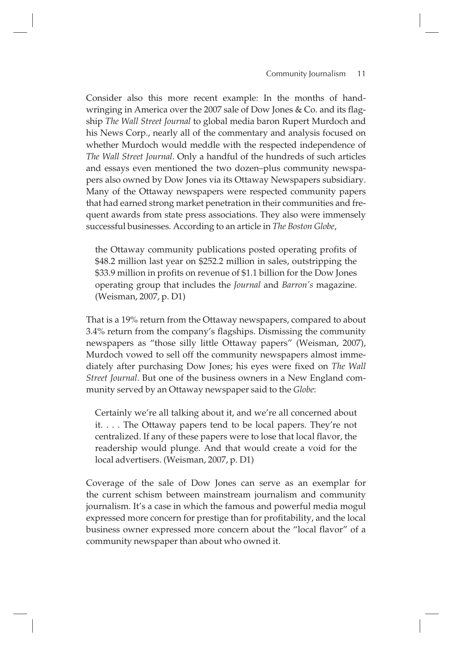Consider also this more recent example: In the months of handwringing in America over the 2007 sale of Dow Jones & Co. and its flagship *The Wall Street Journal* to global media baron Rupert Murdoch and his News Corp., nearly all of the commentary and analysis focused on whether Murdoch would meddle with the respected independence of *The Wall Street Journal*. Only a handful of the hundreds of such articles and essays even mentioned the two dozen–plus community newspapers also owned by Dow Jones via its Ottaway Newspapers subsidiary. Many of the Ottaway newspapers were respected community papers that had earned strong market penetration in their communities and frequent awards from state press associations. They also were immensely successful businesses. According to an article in *The Boston Globe*,

the Ottaway community publications posted operating profits of \$48.2 million last year on \$252.2 million in sales, outstripping the \$33.9 million in profits on revenue of \$1.1 billion for the Dow Jones operating group that includes the *Journal* and *Barron's* magazine. (Weisman, 2007, p. D1)

That is a 19% return from the Ottaway newspapers, compared to about 3.4% return from the company's flagships. Dismissing the community newspapers as "those silly little Ottaway papers" (Weisman, 2007), Murdoch vowed to sell off the community newspapers almost immediately after purchasing Dow Jones; his eyes were fixed on *The Wall Street Journal*. But one of the business owners in a New England community served by an Ottaway newspaper said to the *Globe*:

Certainly we're all talking about it, and we're all concerned about it. . . . The Ottaway papers tend to be local papers. They're not centralized. If any of these papers were to lose that local flavor, the readership would plunge. And that would create a void for the local advertisers. (Weisman, 2007, p. D1)

Coverage of the sale of Dow Jones can serve as an exemplar for the current schism between mainstream journalism and community journalism. It's a case in which the famous and powerful media mogul expressed more concern for prestige than for profitability, and the local business owner expressed more concern about the "local flavor" of a community newspaper than about who owned it.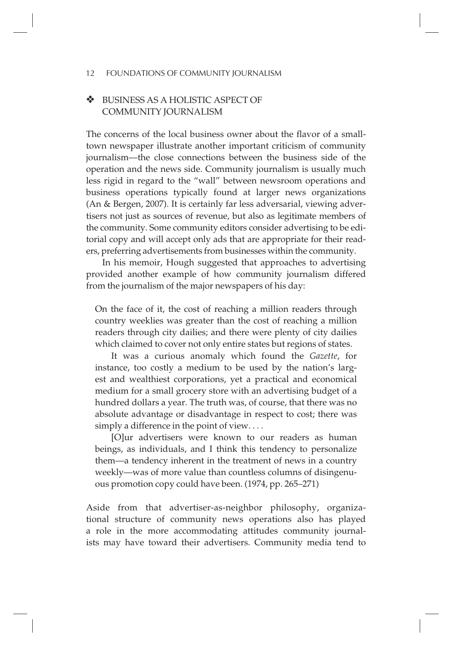# ❖ BUSINESS AS A HOLISTIC ASPECT OF COMMUNITY JOURNALISM

The concerns of the local business owner about the flavor of a smalltown newspaper illustrate another important criticism of community journalism—the close connections between the business side of the operation and the news side. Community journalism is usually much less rigid in regard to the "wall" between newsroom operations and business operations typically found at larger news organizations (An & Bergen, 2007). It is certainly far less adversarial, viewing advertisers not just as sources of revenue, but also as legitimate members of the community. Some community editors consider advertising to be editorial copy and will accept only ads that are appropriate for their readers, preferring advertisements from businesses within the community.

In his memoir, Hough suggested that approaches to advertising provided another example of how community journalism differed from the journalism of the major newspapers of his day:

On the face of it, the cost of reaching a million readers through country weeklies was greater than the cost of reaching a million readers through city dailies; and there were plenty of city dailies which claimed to cover not only entire states but regions of states.

It was a curious anomaly which found the *Gazette*, for instance, too costly a medium to be used by the nation's largest and wealthiest corporations, yet a practical and economical medium for a small grocery store with an advertising budget of a hundred dollars a year. The truth was, of course, that there was no absolute advantage or disadvantage in respect to cost; there was simply a difference in the point of view. . . .

[O]ur advertisers were known to our readers as human beings, as individuals, and I think this tendency to personalize them—a tendency inherent in the treatment of news in a country weekly—was of more value than countless columns of disingenuous promotion copy could have been. (1974, pp. 265–271)

Aside from that advertiser-as-neighbor philosophy, organizational structure of community news operations also has played a role in the more accommodating attitudes community journalists may have toward their advertisers. Community media tend to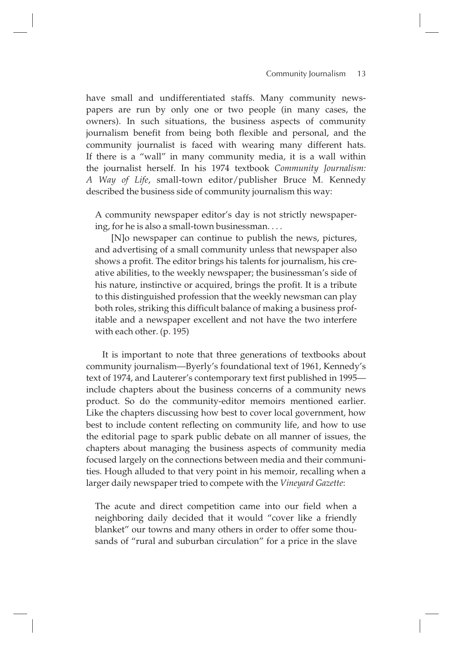have small and undifferentiated staffs. Many community newspapers are run by only one or two people (in many cases, the owners). In such situations, the business aspects of community journalism benefit from being both flexible and personal, and the community journalist is faced with wearing many different hats. If there is a "wall" in many community media, it is a wall within the journalist herself. In his 1974 textbook *Community Journalism: A Way of Life*, small-town editor/publisher Bruce M. Kennedy described the business side of community journalism this way:

A community newspaper editor's day is not strictly newspapering, for he is also a small-town businessman. . . .

[N]o newspaper can continue to publish the news, pictures, and advertising of a small community unless that newspaper also shows a profit. The editor brings his talents for journalism, his creative abilities, to the weekly newspaper; the businessman's side of his nature, instinctive or acquired, brings the profit. It is a tribute to this distinguished profession that the weekly newsman can play both roles, striking this difficult balance of making a business profitable and a newspaper excellent and not have the two interfere with each other. (p. 195)

It is important to note that three generations of textbooks about community journalism—Byerly's foundational text of 1961, Kennedy's text of 1974, and Lauterer's contemporary text first published in 1995 include chapters about the business concerns of a community news product. So do the community-editor memoirs mentioned earlier. Like the chapters discussing how best to cover local government, how best to include content reflecting on community life, and how to use the editorial page to spark public debate on all manner of issues, the chapters about managing the business aspects of community media focused largely on the connections between media and their communities. Hough alluded to that very point in his memoir, recalling when a larger daily newspaper tried to compete with the *Vineyard Gazette*:

The acute and direct competition came into our field when a neighboring daily decided that it would "cover like a friendly blanket" our towns and many others in order to offer some thousands of "rural and suburban circulation" for a price in the slave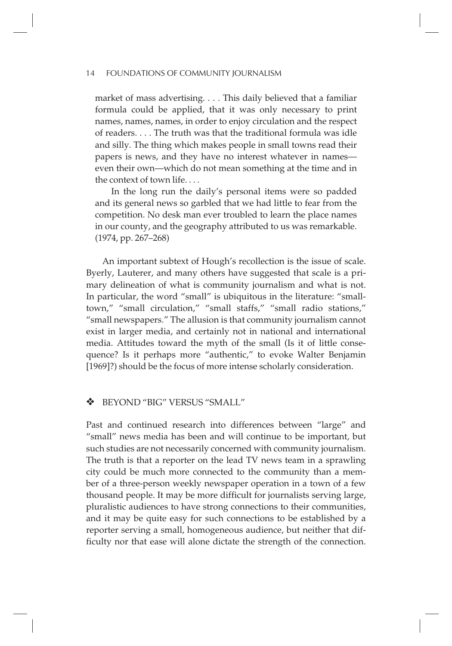market of mass advertising. . . . This daily believed that a familiar formula could be applied, that it was only necessary to print names, names, names, in order to enjoy circulation and the respect of readers. . . . The truth was that the traditional formula was idle and silly. The thing which makes people in small towns read their papers is news, and they have no interest whatever in names even their own—which do not mean something at the time and in the context of town life. . . .

In the long run the daily's personal items were so padded and its general news so garbled that we had little to fear from the competition. No desk man ever troubled to learn the place names in our county, and the geography attributed to us was remarkable. (1974, pp. 267–268)

An important subtext of Hough's recollection is the issue of scale. Byerly, Lauterer, and many others have suggested that scale is a primary delineation of what is community journalism and what is not. In particular, the word "small" is ubiquitous in the literature: "smalltown," "small circulation," "small staffs," "small radio stations," "small newspapers." The allusion is that community journalism cannot exist in larger media, and certainly not in national and international media. Attitudes toward the myth of the small (Is it of little consequence? Is it perhaps more "authentic," to evoke Walter Benjamin [1969]?) should be the focus of more intense scholarly consideration.

## ❖ BEYOND "BIG" VERSUS "SMALL"

Past and continued research into differences between "large" and "small" news media has been and will continue to be important, but such studies are not necessarily concerned with community journalism. The truth is that a reporter on the lead TV news team in a sprawling city could be much more connected to the community than a member of a three-person weekly newspaper operation in a town of a few thousand people. It may be more difficult for journalists serving large, pluralistic audiences to have strong connections to their communities, and it may be quite easy for such connections to be established by a reporter serving a small, homogeneous audience, but neither that difficulty nor that ease will alone dictate the strength of the connection.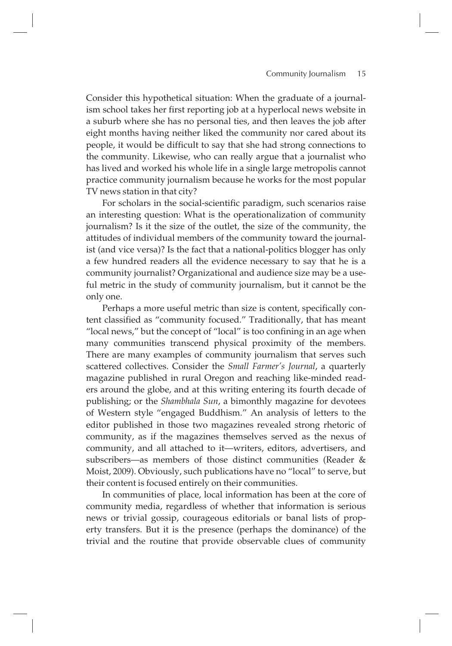Consider this hypothetical situation: When the graduate of a journalism school takes her first reporting job at a hyperlocal news website in a suburb where she has no personal ties, and then leaves the job after eight months having neither liked the community nor cared about its people, it would be difficult to say that she had strong connections to the community. Likewise, who can really argue that a journalist who has lived and worked his whole life in a single large metropolis cannot practice community journalism because he works for the most popular TV news station in that city?

For scholars in the social-scientific paradigm, such scenarios raise an interesting question: What is the operationalization of community journalism? Is it the size of the outlet, the size of the community, the attitudes of individual members of the community toward the journalist (and vice versa)? Is the fact that a national-politics blogger has only a few hundred readers all the evidence necessary to say that he is a community journalist? Organizational and audience size may be a useful metric in the study of community journalism, but it cannot be the only one.

Perhaps a more useful metric than size is content, specifically content classified as "community focused." Traditionally, that has meant "local news," but the concept of "local" is too confining in an age when many communities transcend physical proximity of the members. There are many examples of community journalism that serves such scattered collectives. Consider the *Small Farmer's Journal*, a quarterly magazine published in rural Oregon and reaching like-minded readers around the globe, and at this writing entering its fourth decade of publishing; or the *Shambhala Sun*, a bimonthly magazine for devotees of Western style "engaged Buddhism." An analysis of letters to the editor published in those two magazines revealed strong rhetoric of community, as if the magazines themselves served as the nexus of community, and all attached to it—writers, editors, advertisers, and subscribers—as members of those distinct communities (Reader & Moist, 2009). Obviously, such publications have no "local" to serve, but their content is focused entirely on their communities.

In communities of place, local information has been at the core of community media, regardless of whether that information is serious news or trivial gossip, courageous editorials or banal lists of property transfers. But it is the presence (perhaps the dominance) of the trivial and the routine that provide observable clues of community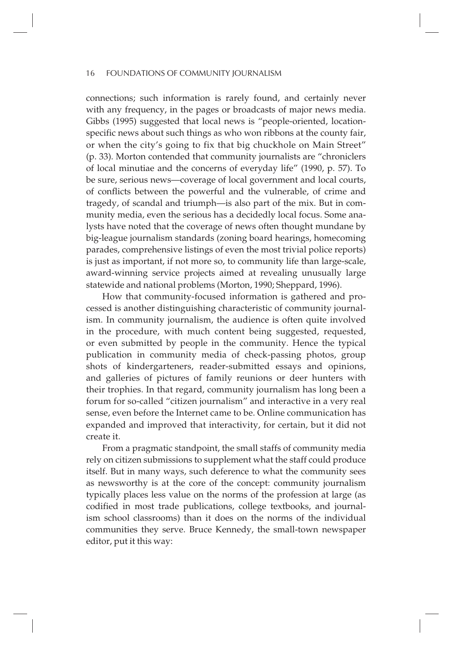connections; such information is rarely found, and certainly never with any frequency, in the pages or broadcasts of major news media. Gibbs (1995) suggested that local news is "people-oriented, locationspecific news about such things as who won ribbons at the county fair, or when the city's going to fix that big chuckhole on Main Street" (p. 33). Morton contended that community journalists are "chroniclers of local minutiae and the concerns of everyday life" (1990, p. 57). To be sure, serious news—coverage of local government and local courts, of conflicts between the powerful and the vulnerable, of crime and tragedy, of scandal and triumph—is also part of the mix. But in community media, even the serious has a decidedly local focus. Some analysts have noted that the coverage of news often thought mundane by big-league journalism standards (zoning board hearings, homecoming parades, comprehensive listings of even the most trivial police reports) is just as important, if not more so, to community life than large-scale, award-winning service projects aimed at revealing unusually large statewide and national problems (Morton, 1990; Sheppard, 1996).

How that community-focused information is gathered and processed is another distinguishing characteristic of community journalism. In community journalism, the audience is often quite involved in the procedure, with much content being suggested, requested, or even submitted by people in the community. Hence the typical publication in community media of check-passing photos, group shots of kindergarteners, reader-submitted essays and opinions, and galleries of pictures of family reunions or deer hunters with their trophies. In that regard, community journalism has long been a forum for so-called "citizen journalism" and interactive in a very real sense, even before the Internet came to be. Online communication has expanded and improved that interactivity, for certain, but it did not create it.

From a pragmatic standpoint, the small staffs of community media rely on citizen submissions to supplement what the staff could produce itself. But in many ways, such deference to what the community sees as newsworthy is at the core of the concept: community journalism typically places less value on the norms of the profession at large (as codified in most trade publications, college textbooks, and journalism school classrooms) than it does on the norms of the individual communities they serve. Bruce Kennedy, the small-town newspaper editor, put it this way: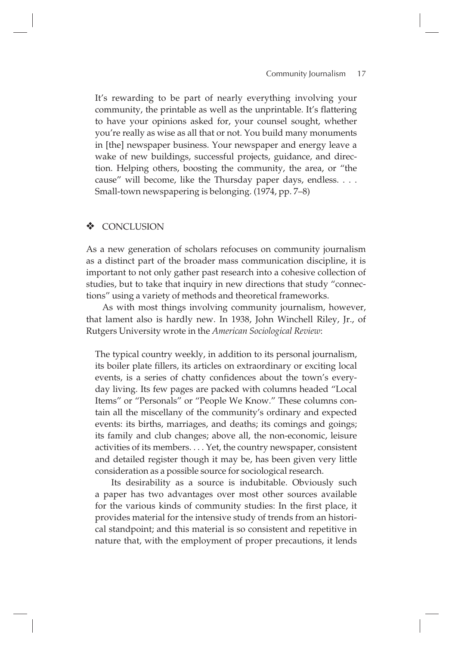It's rewarding to be part of nearly everything involving your community, the printable as well as the unprintable. It's flattering to have your opinions asked for, your counsel sought, whether you're really as wise as all that or not. You build many monuments in [the] newspaper business. Your newspaper and energy leave a wake of new buildings, successful projects, guidance, and direction. Helping others, boosting the community, the area, or "the cause" will become, like the Thursday paper days, endless. . . . Small-town newspapering is belonging. (1974, pp. 7–8)

# **CONCLUSION**

As a new generation of scholars refocuses on community journalism as a distinct part of the broader mass communication discipline, it is important to not only gather past research into a cohesive collection of studies, but to take that inquiry in new directions that study "connections" using a variety of methods and theoretical frameworks.

As with most things involving community journalism, however, that lament also is hardly new. In 1938, John Winchell Riley, Jr., of Rutgers University wrote in the *American Sociological Review*:

The typical country weekly, in addition to its personal journalism, its boiler plate fillers, its articles on extraordinary or exciting local events, is a series of chatty confidences about the town's everyday living. Its few pages are packed with columns headed "Local Items" or "Personals" or "People We Know." These columns contain all the miscellany of the community's ordinary and expected events: its births, marriages, and deaths; its comings and goings; its family and club changes; above all, the non-economic, leisure activities of its members. . . . Yet, the country newspaper, consistent and detailed register though it may be, has been given very little consideration as a possible source for sociological research.

Its desirability as a source is indubitable. Obviously such a paper has two advantages over most other sources available for the various kinds of community studies: In the first place, it provides material for the intensive study of trends from an historical standpoint; and this material is so consistent and repetitive in nature that, with the employment of proper precautions, it lends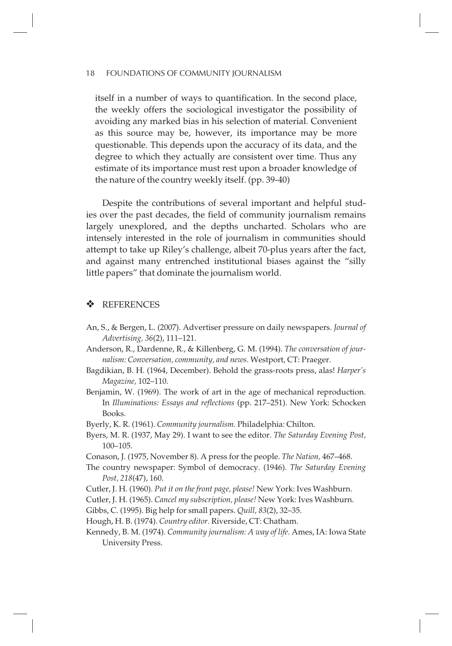itself in a number of ways to quantification. In the second place, the weekly offers the sociological investigator the possibility of avoiding any marked bias in his selection of material. Convenient as this source may be, however, its importance may be more questionable. This depends upon the accuracy of its data, and the degree to which they actually are consistent over time. Thus any estimate of its importance must rest upon a broader knowledge of the nature of the country weekly itself. (pp. 39-40)

Despite the contributions of several important and helpful studies over the past decades, the field of community journalism remains largely unexplored, and the depths uncharted. Scholars who are intensely interested in the role of journalism in communities should attempt to take up Riley's challenge, albeit 70-plus years after the fact, and against many entrenched institutional biases against the "silly little papers" that dominate the journalism world.

# ❖ REFERENCES

- An, S., & Bergen, L. (2007). Advertiser pressure on daily newspapers. *Journal of Advertising, 36*(2), 111–121.
- Anderson, R., Dardenne, R., & Killenberg, G. M. (1994). *The conversation of journalism: Conversation, community, and news*. Westport, CT: Praeger.
- Bagdikian, B. H. (1964, December). Behold the grass-roots press, alas! *Harper's Magazine,* 102–110.
- Benjamin, W. (1969). The work of art in the age of mechanical reproduction. In *Illuminations: Essays and reflections* (pp. 217–251). New York: Schocken Books.
- Byerly, K. R. (1961). *Community journalism.* Philadelphia: Chilton.
- Byers, M. R. (1937, May 29). I want to see the editor. *The Saturday Evening Post,* 100–105.
- Conason, J. (1975, November 8). A press for the people. *The Nation,* 467–468.
- The country newspaper: Symbol of democracy. (1946). *The Saturday Evening Post, 218*(47), 160.
- Cutler, J. H. (1960). *Put it on the front page, please!* New York: Ives Washburn.
- Cutler, J. H. (1965). *Cancel my subscription, please!* New York: Ives Washburn.

Gibbs, C. (1995). Big help for small papers. *Quill, 83*(2), 32–35.

- Hough, H. B. (1974). *Country editor.* Riverside, CT: Chatham.
- Kennedy, B. M. (1974). *Community journalism: A way of life.* Ames, IA: Iowa State University Press.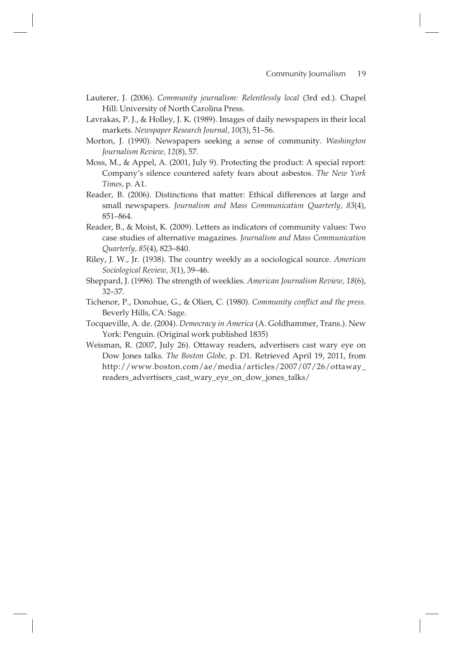- Lauterer, J. (2006). *Community journalism: Relentlessly local* (3rd ed.). Chapel Hill: University of North Carolina Press.
- Lavrakas, P. J., & Holley, J. K. (1989). Images of daily newspapers in their local markets. *Newspaper Research Journal, 10*(3), 51–56.
- Morton, J. (1990). Newspapers seeking a sense of community. *Washington Journalism Review, 12*(8), 57.
- Moss, M., & Appel, A. (2001, July 9). Protecting the product: A special report: Company's silence countered safety fears about asbestos. *The New York Times,* p. A1.
- Reader, B. (2006). Distinctions that matter: Ethical differences at large and small newspapers. *Journalism and Mass Communication Quarterly, 83*(4), 851–864.
- Reader, B., & Moist, K. (2009). Letters as indicators of community values: Two case studies of alternative magazines. *Journalism and Mass Communication Quarterly, 85*(4), 823–840.
- Riley, J. W., Jr. (1938). The country weekly as a sociological source. *American Sociological Review, 3*(1), 39–46.
- Sheppard, J. (1996). The strength of weeklies. *American Journalism Review, 18*(6), 32–37.
- Tichenor, P., Donohue, G., & Olien, C. (1980). *Community conflict and the press.* Beverly Hills, CA: Sage.
- Tocqueville, A. de. (2004). *Democracy in America* (A. Goldhammer, Trans.). New York: Penguin. (Original work published 1835)
- Weisman, R. (2007, July 26). Ottaway readers, advertisers cast wary eye on Dow Jones talks. *The Boston Globe,* p. D1. Retrieved April 19, 2011, from http://www.boston.com/ae/media/articles/2007/07/26/ottaway\_ readers\_advertisers\_cast\_wary\_eye\_on\_dow\_jones\_talks/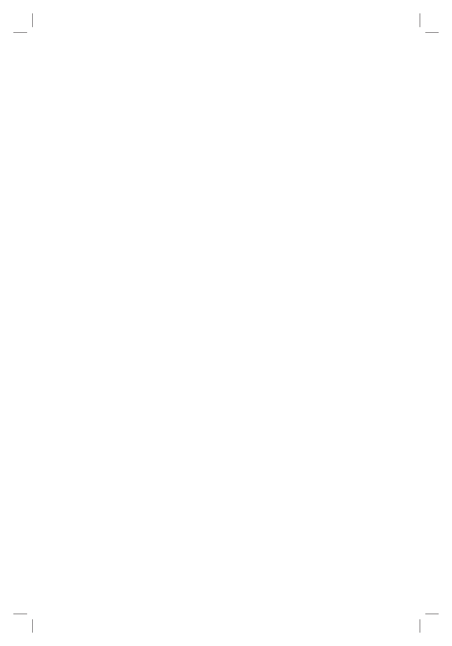$\frac{1}{2}$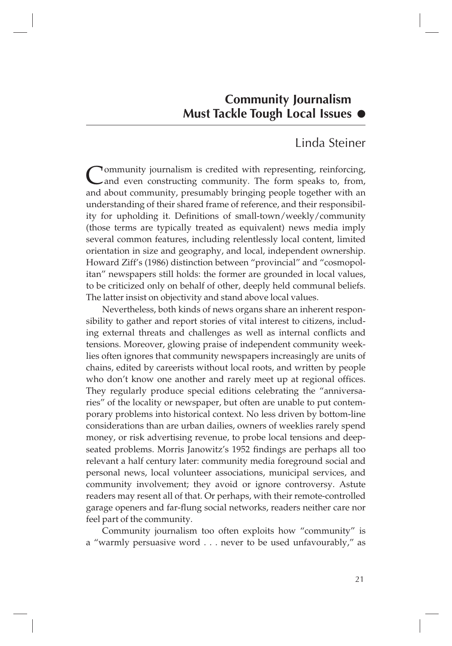# **Community Journalism Must Tackle Tough Local Issues** ●

# Linda Steiner

**Community journalism is credited with representing, reinforcing,** and even constructing community. The form speaks to, from, and about community, presumably bringing people together with an understanding of their shared frame of reference, and their responsibility for upholding it. Definitions of small-town/weekly/community (those terms are typically treated as equivalent) news media imply several common features, including relentlessly local content, limited orientation in size and geography, and local, independent ownership. Howard Ziff's (1986) distinction between "provincial" and "cosmopolitan" newspapers still holds: the former are grounded in local values, to be criticized only on behalf of other, deeply held communal beliefs. The latter insist on objectivity and stand above local values.

Nevertheless, both kinds of news organs share an inherent responsibility to gather and report stories of vital interest to citizens, including external threats and challenges as well as internal conflicts and tensions. Moreover, glowing praise of independent community weeklies often ignores that community newspapers increasingly are units of chains, edited by careerists without local roots, and written by people who don't know one another and rarely meet up at regional offices. They regularly produce special editions celebrating the "anniversaries" of the locality or newspaper, but often are unable to put contemporary problems into historical context. No less driven by bottom-line considerations than are urban dailies, owners of weeklies rarely spend money, or risk advertising revenue, to probe local tensions and deepseated problems. Morris Janowitz's 1952 findings are perhaps all too relevant a half century later: community media foreground social and personal news, local volunteer associations, municipal services, and community involvement; they avoid or ignore controversy. Astute readers may resent all of that. Or perhaps, with their remote-controlled garage openers and far-flung social networks, readers neither care nor feel part of the community.

Community journalism too often exploits how "community" is a "warmly persuasive word . . . never to be used unfavourably," as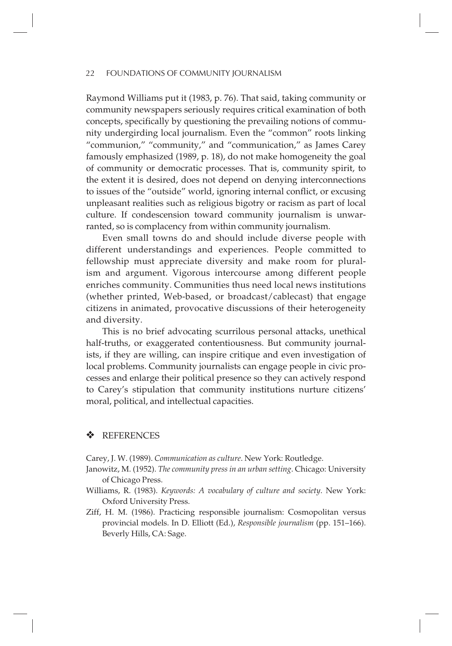Raymond Williams put it (1983, p. 76). That said, taking community or community newspapers seriously requires critical examination of both concepts, specifically by questioning the prevailing notions of community undergirding local journalism. Even the "common" roots linking "communion," "community," and "communication," as James Carey famously emphasized (1989, p. 18), do not make homogeneity the goal of community or democratic processes. That is, community spirit, to the extent it is desired, does not depend on denying interconnections to issues of the "outside" world, ignoring internal conflict, or excusing unpleasant realities such as religious bigotry or racism as part of local culture. If condescension toward community journalism is unwarranted, so is complacency from within community journalism.

Even small towns do and should include diverse people with different understandings and experiences. People committed to fellowship must appreciate diversity and make room for pluralism and argument. Vigorous intercourse among different people enriches community. Communities thus need local news institutions (whether printed, Web-based, or broadcast/cablecast) that engage citizens in animated, provocative discussions of their heterogeneity and diversity.

This is no brief advocating scurrilous personal attacks, unethical half-truths, or exaggerated contentiousness. But community journalists, if they are willing, can inspire critique and even investigation of local problems. Community journalists can engage people in civic processes and enlarge their political presence so they can actively respond to Carey's stipulation that community institutions nurture citizens' moral, political, and intellectual capacities.

# ❖ REFERENCES

Carey, J. W. (1989). *Communication as culture*. New York: Routledge.

- Janowitz, M. (1952). *The community press in an urban setting*. Chicago: University of Chicago Press.
- Williams, R. (1983). *Keywords: A vocabulary of culture and society*. New York: Oxford University Press.
- Ziff, H. M. (1986). Practicing responsible journalism: Cosmopolitan versus provincial models. In D. Elliott (Ed.), *Responsible journalism* (pp. 151–166). Beverly Hills, CA: Sage.